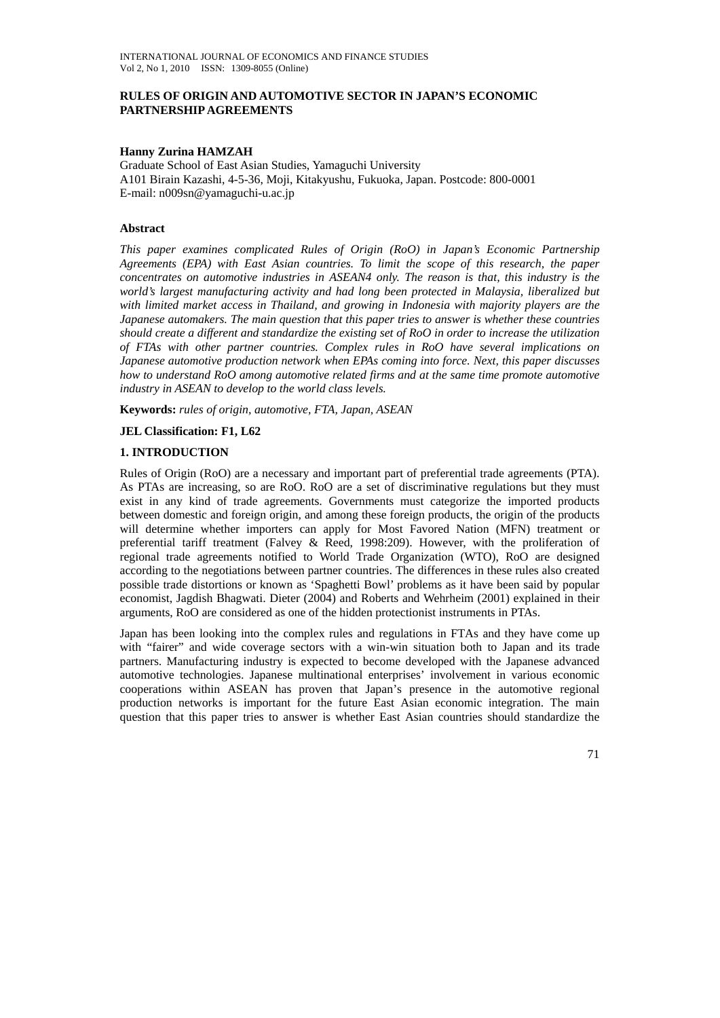### **RULES OF ORIGIN AND AUTOMOTIVE SECTOR IN JAPAN'S ECONOMIC PARTNERSHIP AGREEMENTS**

#### **Hanny Zurina HAMZAH**

Graduate School of East Asian Studies, Yamaguchi University A101 Birain Kazashi, 4-5-36, Moji, Kitakyushu, Fukuoka, Japan. Postcode: 800-0001 E-mail: n009sn@yamaguchi-u.ac.jp

### **Abstract**

*This paper examines complicated Rules of Origin (RoO) in Japan's Economic Partnership Agreements (EPA) with East Asian countries. To limit the scope of this research, the paper concentrates on automotive industries in ASEAN4 only. The reason is that, this industry is the world's largest manufacturing activity and had long been protected in Malaysia, liberalized but with limited market access in Thailand, and growing in Indonesia with majority players are the Japanese automakers. The main question that this paper tries to answer is whether these countries should create a different and standardize the existing set of RoO in order to increase the utilization of FTAs with other partner countries. Complex rules in RoO have several implications on Japanese automotive production network when EPAs coming into force. Next, this paper discusses how to understand RoO among automotive related firms and at the same time promote automotive industry in ASEAN to develop to the world class levels.* 

**Keywords:** *rules of origin, automotive, FTA, Japan, ASEAN*

### **JEL Classification: F1, L62**

### **1. INTRODUCTION**

Rules of Origin (RoO) are a necessary and important part of preferential trade agreements (PTA). As PTAs are increasing, so are RoO. RoO are a set of discriminative regulations but they must exist in any kind of trade agreements. Governments must categorize the imported products between domestic and foreign origin, and among these foreign products, the origin of the products will determine whether importers can apply for Most Favored Nation (MFN) treatment or preferential tariff treatment (Falvey & Reed, 1998:209). However, with the proliferation of regional trade agreements notified to World Trade Organization (WTO), RoO are designed according to the negotiations between partner countries. The differences in these rules also created possible trade distortions or known as 'Spaghetti Bowl' problems as it have been said by popular economist, Jagdish Bhagwati. Dieter (2004) and Roberts and Wehrheim (2001) explained in their arguments, RoO are considered as one of the hidden protectionist instruments in PTAs.

Japan has been looking into the complex rules and regulations in FTAs and they have come up with "fairer" and wide coverage sectors with a win-win situation both to Japan and its trade partners. Manufacturing industry is expected to become developed with the Japanese advanced automotive technologies. Japanese multinational enterprises' involvement in various economic cooperations within ASEAN has proven that Japan's presence in the automotive regional production networks is important for the future East Asian economic integration. The main question that this paper tries to answer is whether East Asian countries should standardize the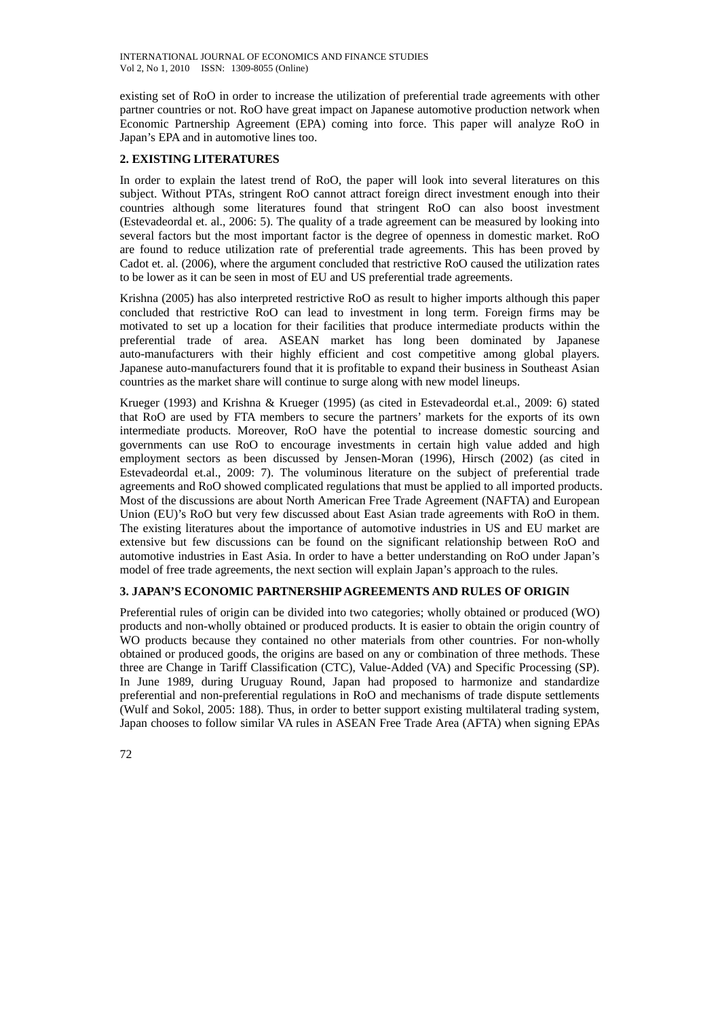existing set of RoO in order to increase the utilization of preferential trade agreements with other partner countries or not. RoO have great impact on Japanese automotive production network when Economic Partnership Agreement (EPA) coming into force. This paper will analyze RoO in Japan's EPA and in automotive lines too.

# **2. EXISTING LITERATURES**

In order to explain the latest trend of RoO, the paper will look into several literatures on this subject. Without PTAs, stringent RoO cannot attract foreign direct investment enough into their countries although some literatures found that stringent RoO can also boost investment (Estevadeordal et. al., 2006: 5). The quality of a trade agreement can be measured by looking into several factors but the most important factor is the degree of openness in domestic market. RoO are found to reduce utilization rate of preferential trade agreements. This has been proved by Cadot et. al. (2006), where the argument concluded that restrictive RoO caused the utilization rates to be lower as it can be seen in most of EU and US preferential trade agreements.

Krishna (2005) has also interpreted restrictive RoO as result to higher imports although this paper concluded that restrictive RoO can lead to investment in long term. Foreign firms may be motivated to set up a location for their facilities that produce intermediate products within the preferential trade of area. ASEAN market has long been dominated by Japanese auto-manufacturers with their highly efficient and cost competitive among global players. Japanese auto-manufacturers found that it is profitable to expand their business in Southeast Asian countries as the market share will continue to surge along with new model lineups.

Krueger (1993) and Krishna & Krueger (1995) (as cited in Estevadeordal et.al., 2009: 6) stated that RoO are used by FTA members to secure the partners' markets for the exports of its own intermediate products. Moreover, RoO have the potential to increase domestic sourcing and governments can use RoO to encourage investments in certain high value added and high employment sectors as been discussed by Jensen-Moran (1996), Hirsch (2002) (as cited in Estevadeordal et.al., 2009: 7). The voluminous literature on the subject of preferential trade agreements and RoO showed complicated regulations that must be applied to all imported products. Most of the discussions are about North American Free Trade Agreement (NAFTA) and European Union (EU)'s RoO but very few discussed about East Asian trade agreements with RoO in them. The existing literatures about the importance of automotive industries in US and EU market are extensive but few discussions can be found on the significant relationship between RoO and automotive industries in East Asia. In order to have a better understanding on RoO under Japan's model of free trade agreements, the next section will explain Japan's approach to the rules.

# **3. JAPAN'S ECONOMIC PARTNERSHIP AGREEMENTS AND RULES OF ORIGIN**

Preferential rules of origin can be divided into two categories; wholly obtained or produced (WO) products and non-wholly obtained or produced products. It is easier to obtain the origin country of WO products because they contained no other materials from other countries. For non-wholly obtained or produced goods, the origins are based on any or combination of three methods. These three are Change in Tariff Classification (CTC), Value-Added (VA) and Specific Processing (SP). In June 1989, during Uruguay Round, Japan had proposed to harmonize and standardize preferential and non-preferential regulations in RoO and mechanisms of trade dispute settlements (Wulf and Sokol, 2005: 188). Thus, in order to better support existing multilateral trading system, Japan chooses to follow similar VA rules in ASEAN Free Trade Area (AFTA) when signing EPAs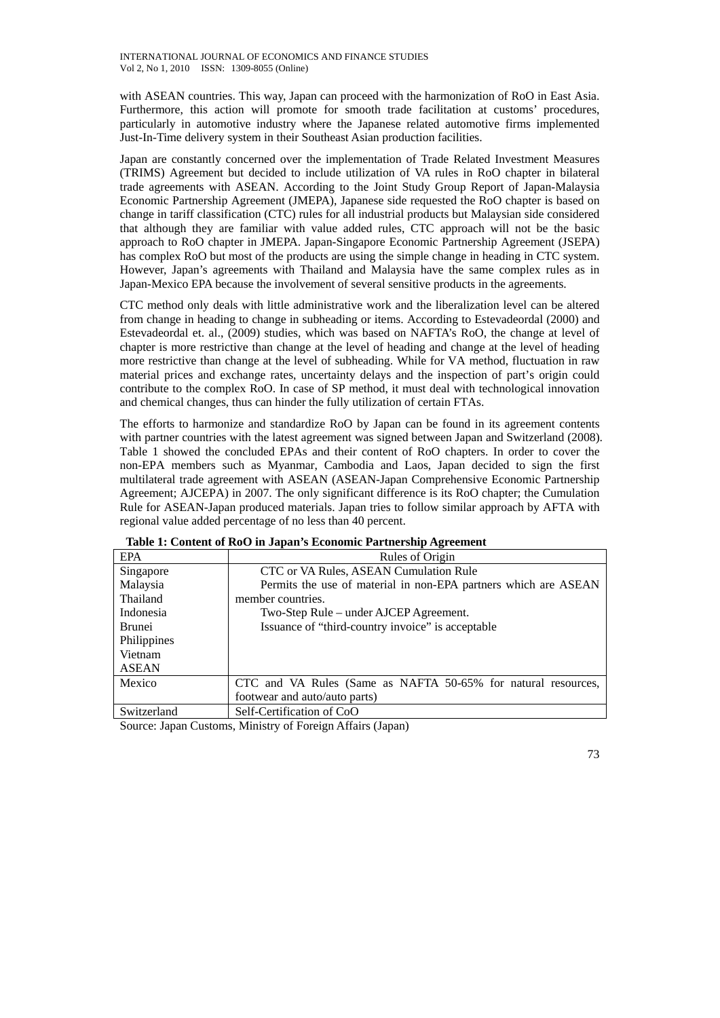with ASEAN countries. This way, Japan can proceed with the harmonization of RoO in East Asia. Furthermore, this action will promote for smooth trade facilitation at customs' procedures, particularly in automotive industry where the Japanese related automotive firms implemented Just-In-Time delivery system in their Southeast Asian production facilities.

Japan are constantly concerned over the implementation of Trade Related Investment Measures (TRIMS) Agreement but decided to include utilization of VA rules in RoO chapter in bilateral trade agreements with ASEAN. According to the Joint Study Group Report of Japan-Malaysia Economic Partnership Agreement (JMEPA), Japanese side requested the RoO chapter is based on change in tariff classification (CTC) rules for all industrial products but Malaysian side considered that although they are familiar with value added rules, CTC approach will not be the basic approach to RoO chapter in JMEPA. Japan-Singapore Economic Partnership Agreement (JSEPA) has complex RoO but most of the products are using the simple change in heading in CTC system. However, Japan's agreements with Thailand and Malaysia have the same complex rules as in Japan-Mexico EPA because the involvement of several sensitive products in the agreements.

CTC method only deals with little administrative work and the liberalization level can be altered from change in heading to change in subheading or items. According to Estevadeordal (2000) and Estevadeordal et. al., (2009) studies, which was based on NAFTA's RoO, the change at level of chapter is more restrictive than change at the level of heading and change at the level of heading more restrictive than change at the level of subheading. While for VA method, fluctuation in raw material prices and exchange rates, uncertainty delays and the inspection of part's origin could contribute to the complex RoO. In case of SP method, it must deal with technological innovation and chemical changes, thus can hinder the fully utilization of certain FTAs.

The efforts to harmonize and standardize RoO by Japan can be found in its agreement contents with partner countries with the latest agreement was signed between Japan and Switzerland (2008). Table 1 showed the concluded EPAs and their content of RoO chapters. In order to cover the non-EPA members such as Myanmar, Cambodia and Laos, Japan decided to sign the first multilateral trade agreement with ASEAN (ASEAN-Japan Comprehensive Economic Partnership Agreement; AJCEPA) in 2007. The only significant difference is its RoO chapter; the Cumulation Rule for ASEAN-Japan produced materials. Japan tries to follow similar approach by AFTA with regional value added percentage of no less than 40 percent.

| <b>EPA</b>    | Rules of Origin                                                 |
|---------------|-----------------------------------------------------------------|
| Singapore     | CTC or VA Rules, ASEAN Cumulation Rule                          |
| Malaysia      | Permits the use of material in non-EPA partners which are ASEAN |
| Thailand      | member countries.                                               |
| Indonesia     | Two-Step Rule – under AJCEP Agreement.                          |
| <b>Brunei</b> | Issuance of "third-country invoice" is acceptable               |
| Philippines   |                                                                 |
| Vietnam       |                                                                 |
| <b>ASEAN</b>  |                                                                 |
| Mexico        | CTC and VA Rules (Same as NAFTA 50-65% for natural resources,   |
|               | footwear and auto/auto parts)                                   |
| Switzerland   | Self-Certification of CoO                                       |

## **Table 1: Content of RoO in Japan's Economic Partnership Agreement**

Source: Japan Customs, Ministry of Foreign Affairs (Japan)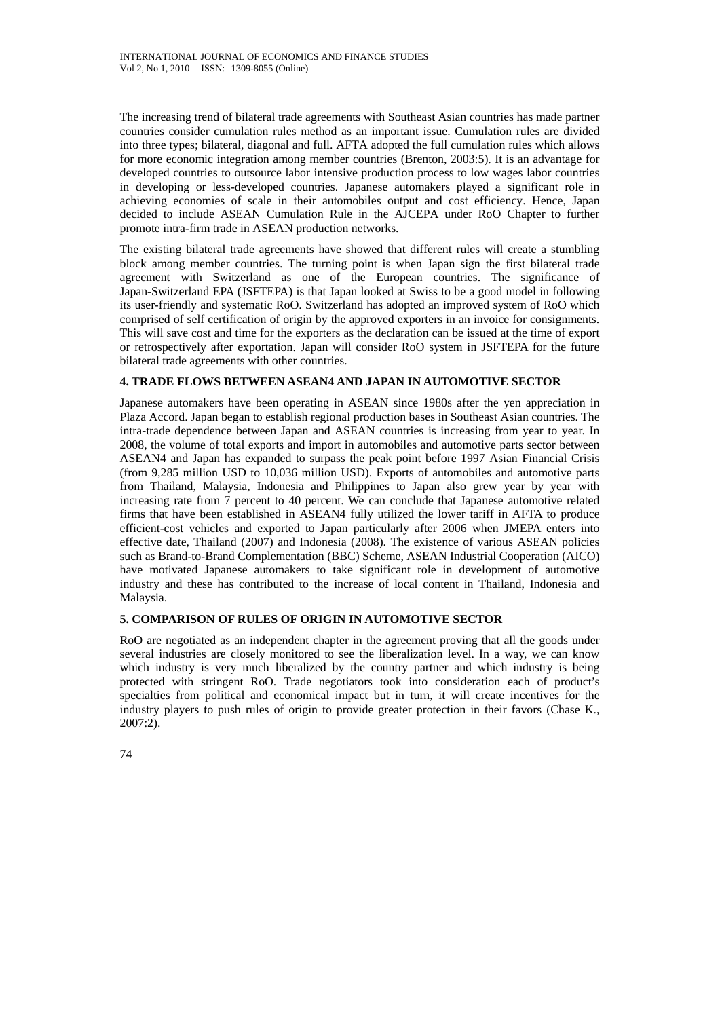The increasing trend of bilateral trade agreements with Southeast Asian countries has made partner countries consider cumulation rules method as an important issue. Cumulation rules are divided into three types; bilateral, diagonal and full. AFTA adopted the full cumulation rules which allows for more economic integration among member countries (Brenton, 2003:5). It is an advantage for developed countries to outsource labor intensive production process to low wages labor countries in developing or less-developed countries. Japanese automakers played a significant role in achieving economies of scale in their automobiles output and cost efficiency. Hence, Japan decided to include ASEAN Cumulation Rule in the AJCEPA under RoO Chapter to further promote intra-firm trade in ASEAN production networks.

The existing bilateral trade agreements have showed that different rules will create a stumbling block among member countries. The turning point is when Japan sign the first bilateral trade agreement with Switzerland as one of the European countries. The significance of Japan-Switzerland EPA (JSFTEPA) is that Japan looked at Swiss to be a good model in following its user-friendly and systematic RoO. Switzerland has adopted an improved system of RoO which comprised of self certification of origin by the approved exporters in an invoice for consignments. This will save cost and time for the exporters as the declaration can be issued at the time of export or retrospectively after exportation. Japan will consider RoO system in JSFTEPA for the future bilateral trade agreements with other countries.

# **4. TRADE FLOWS BETWEEN ASEAN4 AND JAPAN IN AUTOMOTIVE SECTOR**

Japanese automakers have been operating in ASEAN since 1980s after the yen appreciation in Plaza Accord. Japan began to establish regional production bases in Southeast Asian countries. The intra-trade dependence between Japan and ASEAN countries is increasing from year to year. In 2008, the volume of total exports and import in automobiles and automotive parts sector between ASEAN4 and Japan has expanded to surpass the peak point before 1997 Asian Financial Crisis (from 9,285 million USD to 10,036 million USD). Exports of automobiles and automotive parts from Thailand, Malaysia, Indonesia and Philippines to Japan also grew year by year with increasing rate from 7 percent to 40 percent. We can conclude that Japanese automotive related firms that have been established in ASEAN4 fully utilized the lower tariff in AFTA to produce efficient-cost vehicles and exported to Japan particularly after 2006 when JMEPA enters into effective date, Thailand (2007) and Indonesia (2008). The existence of various ASEAN policies such as Brand-to-Brand Complementation (BBC) Scheme, ASEAN Industrial Cooperation (AICO) have motivated Japanese automakers to take significant role in development of automotive industry and these has contributed to the increase of local content in Thailand, Indonesia and Malaysia.

# **5. COMPARISON OF RULES OF ORIGIN IN AUTOMOTIVE SECTOR**

RoO are negotiated as an independent chapter in the agreement proving that all the goods under several industries are closely monitored to see the liberalization level. In a way, we can know which industry is very much liberalized by the country partner and which industry is being protected with stringent RoO. Trade negotiators took into consideration each of product's specialties from political and economical impact but in turn, it will create incentives for the industry players to push rules of origin to provide greater protection in their favors (Chase K., 2007:2).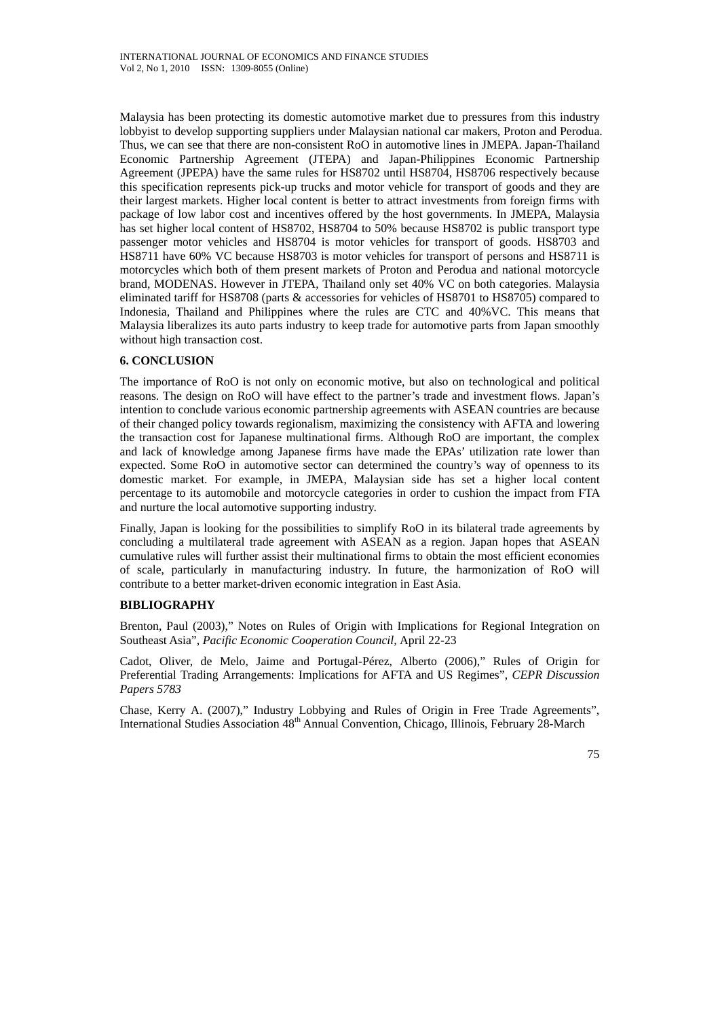Malaysia has been protecting its domestic automotive market due to pressures from this industry lobbyist to develop supporting suppliers under Malaysian national car makers, Proton and Perodua. Thus, we can see that there are non-consistent RoO in automotive lines in JMEPA. Japan-Thailand Economic Partnership Agreement (JTEPA) and Japan-Philippines Economic Partnership Agreement (JPEPA) have the same rules for HS8702 until HS8704, HS8706 respectively because this specification represents pick-up trucks and motor vehicle for transport of goods and they are their largest markets. Higher local content is better to attract investments from foreign firms with package of low labor cost and incentives offered by the host governments. In JMEPA, Malaysia has set higher local content of HS8702, HS8704 to 50% because HS8702 is public transport type passenger motor vehicles and HS8704 is motor vehicles for transport of goods. HS8703 and HS8711 have 60% VC because HS8703 is motor vehicles for transport of persons and HS8711 is motorcycles which both of them present markets of Proton and Perodua and national motorcycle brand, MODENAS. However in JTEPA, Thailand only set 40% VC on both categories. Malaysia eliminated tariff for HS8708 (parts & accessories for vehicles of HS8701 to HS8705) compared to Indonesia, Thailand and Philippines where the rules are CTC and 40%VC. This means that Malaysia liberalizes its auto parts industry to keep trade for automotive parts from Japan smoothly without high transaction cost.

# **6. CONCLUSION**

The importance of RoO is not only on economic motive, but also on technological and political reasons. The design on RoO will have effect to the partner's trade and investment flows. Japan's intention to conclude various economic partnership agreements with ASEAN countries are because of their changed policy towards regionalism, maximizing the consistency with AFTA and lowering the transaction cost for Japanese multinational firms. Although RoO are important, the complex and lack of knowledge among Japanese firms have made the EPAs' utilization rate lower than expected. Some RoO in automotive sector can determined the country's way of openness to its domestic market. For example, in JMEPA, Malaysian side has set a higher local content percentage to its automobile and motorcycle categories in order to cushion the impact from FTA and nurture the local automotive supporting industry.

Finally, Japan is looking for the possibilities to simplify RoO in its bilateral trade agreements by concluding a multilateral trade agreement with ASEAN as a region. Japan hopes that ASEAN cumulative rules will further assist their multinational firms to obtain the most efficient economies of scale, particularly in manufacturing industry. In future, the harmonization of RoO will contribute to a better market-driven economic integration in East Asia.

## **BIBLIOGRAPHY**

Brenton, Paul (2003)," Notes on Rules of Origin with Implications for Regional Integration on Southeast Asia", *Pacific Economic Cooperation Council,* April 22-23

Cadot, Oliver, de Melo, Jaime and Portugal-Pérez, Alberto (2006)," Rules of Origin for Preferential Trading Arrangements: Implications for AFTA and US Regimes", *CEPR Discussion Papers 5783*

Chase, Kerry A. (2007)," Industry Lobbying and Rules of Origin in Free Trade Agreements", International Studies Association 48th Annual Convention, Chicago, Illinois, February 28-March